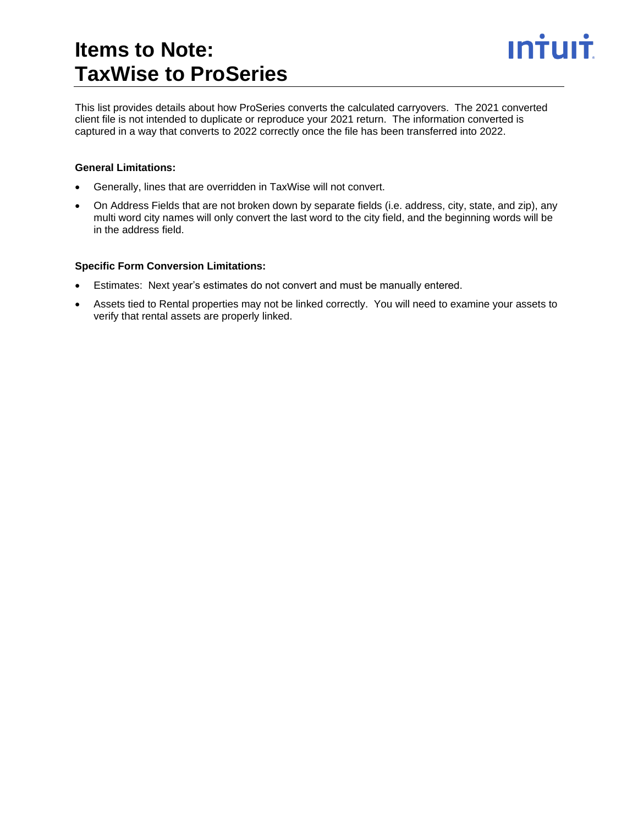### **Items to Note: TaxWise to ProSeries**



This list provides details about how ProSeries converts the calculated carryovers. The 2021 converted client file is not intended to duplicate or reproduce your 2021 return. The information converted is captured in a way that converts to 2022 correctly once the file has been transferred into 2022.

### **General Limitations:**

- Generally, lines that are overridden in TaxWise will not convert.
- On Address Fields that are not broken down by separate fields (i.e. address, city, state, and zip), any multi word city names will only convert the last word to the city field, and the beginning words will be in the address field.

#### **Specific Form Conversion Limitations:**

- Estimates: Next year's estimates do not convert and must be manually entered.
- Assets tied to Rental properties may not be linked correctly. You will need to examine your assets to verify that rental assets are properly linked.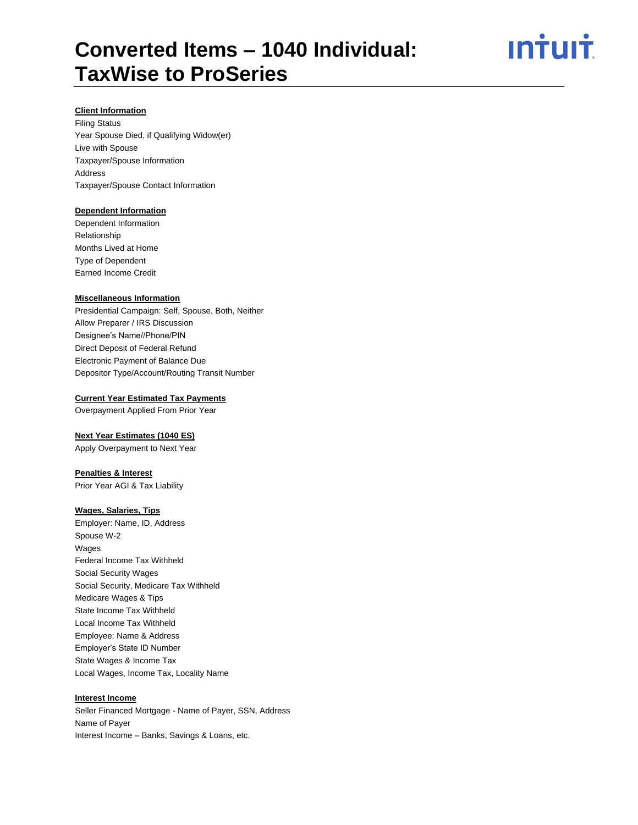<u>ıntuıt</u>

#### **Client Information**

Filing Status Year Spouse Died, if Qualifying Widow(er) Live with Spouse Taxpayer/Spouse Information Address Taxpayer/Spouse Contact Information

#### **Dependent Information**

Dependent Information Relationship Months Lived at Home Type of Dependent Earned Income Credit

#### **Miscellaneous Information**

Presidential Campaign: Self, Spouse, Both, Neither Allow Preparer / IRS Discussion Designee's Name//Phone/PIN Direct Deposit of Federal Refund Electronic Payment of Balance Due Depositor Type/Account/Routing Transit Number

#### **Current Year Estimated Tax Payments**

Overpayment Applied From Prior Year

#### **Next Year Estimates (1040 ES)**

Apply Overpayment to Next Year

#### **Penalties & Interest**

Prior Year AGI & Tax Liability

#### **Wages, Salaries, Tips**

Employer: Name, ID, Address Spouse W-2 Wages Federal Income Tax Withheld Social Security Wages Social Security, Medicare Tax Withheld Medicare Wages & Tips State Income Tax Withheld Local Income Tax Withheld Employee: Name & Address Employer's State ID Number State Wages & Income Tax Local Wages, Income Tax, Locality Name

#### **Interest Income**

Seller Financed Mortgage - Name of Payer, SSN, Address Name of Payer Interest Income – Banks, Savings & Loans, etc.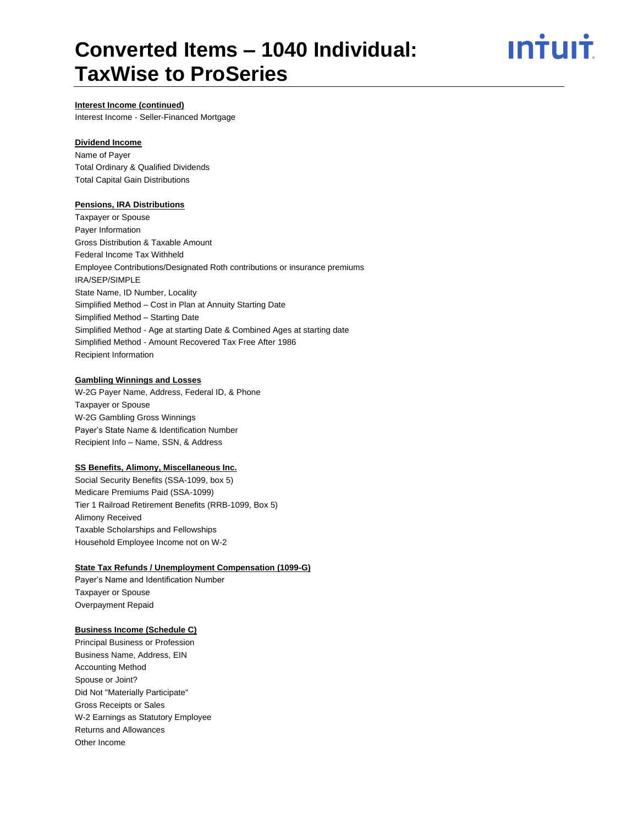## <u>ıntuıt</u>

#### **Interest Income (continued)**

Interest Income - Seller-Financed Mortgage

#### **Dividend Income**

Name of Payer Total Ordinary & Qualified Dividends Total Capital Gain Distributions

#### **Pensions, IRA Distributions**

Taxpayer or Spouse Payer Information Gross Distribution & Taxable Amount Federal Income Tax Withheld Employee Contributions/Designated Roth contributions or insurance premiums IRA/SEP/SIMPLE State Name, ID Number, Locality Simplified Method – Cost in Plan at Annuity Starting Date Simplified Method – Starting Date Simplified Method - Age at starting Date & Combined Ages at starting date Simplified Method - Amount Recovered Tax Free After 1986 Recipient Information

#### **Gambling Winnings and Losses**

W-2G Payer Name, Address, Federal ID, & Phone Taxpayer or Spouse W-2G Gambling Gross Winnings Payer's State Name & Identification Number Recipient Info – Name, SSN, & Address

#### **SS Benefits, Alimony, Miscellaneous Inc.**

Social Security Benefits (SSA-1099, box 5) Medicare Premiums Paid (SSA-1099) Tier 1 Railroad Retirement Benefits (RRB-1099, Box 5) Alimony Received Taxable Scholarships and Fellowships Household Employee Income not on W-2

#### **State Tax Refunds / Unemployment Compensation (1099-G)**

Payer's Name and Identification Number Taxpayer or Spouse Overpayment Repaid

#### **Business Income (Schedule C)**

Principal Business or Profession Business Name, Address, EIN Accounting Method Spouse or Joint? Did Not "Materially Participate" Gross Receipts or Sales W-2 Earnings as Statutory Employee Returns and Allowances Other Income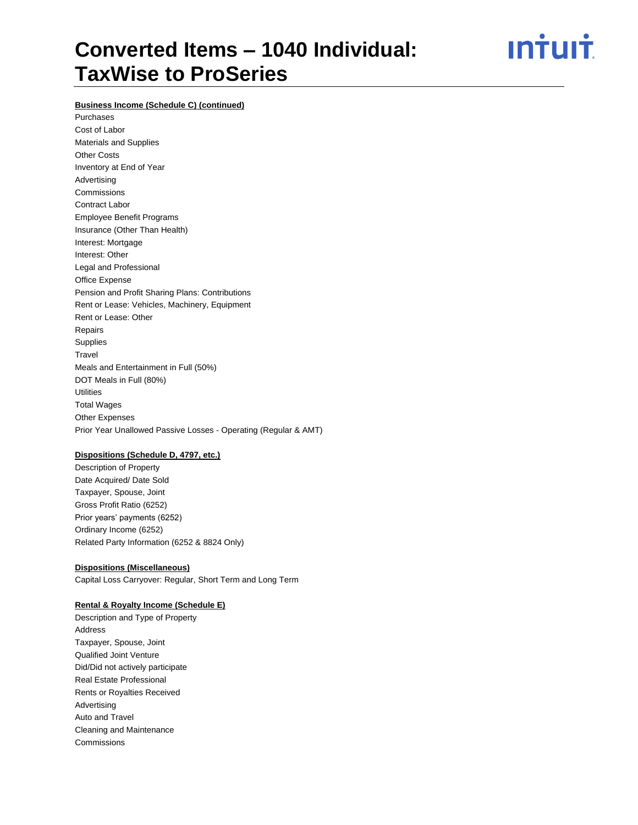ın<del>i</del>uli

#### **Business Income (Schedule C) (continued)**

Purchases Cost of Labor Materials and Supplies Other Costs Inventory at End of Year Advertising Commissions Contract Labor Employee Benefit Programs Insurance (Other Than Health) Interest: Mortgage Interest: Other Legal and Professional Office Expense Pension and Profit Sharing Plans: Contributions Rent or Lease: Vehicles, Machinery, Equipment Rent or Lease: Other Repairs Supplies **Travel** Meals and Entertainment in Full (50%) DOT Meals in Full (80%) **Utilities** Total Wages Other Expenses Prior Year Unallowed Passive Losses - Operating (Regular & AMT)

#### **Dispositions (Schedule D, 4797, etc.)**

Description of Property Date Acquired/ Date Sold Taxpayer, Spouse, Joint Gross Profit Ratio (6252) Prior years' payments (6252) Ordinary Income (6252) Related Party Information (6252 & 8824 Only)

#### **Dispositions (Miscellaneous)**

Capital Loss Carryover: Regular, Short Term and Long Term

#### **Rental & Royalty Income (Schedule E)**

Description and Type of Property Address Taxpayer, Spouse, Joint Qualified Joint Venture Did/Did not actively participate Real Estate Professional Rents or Royalties Received Advertising Auto and Travel Cleaning and Maintenance **Commissions**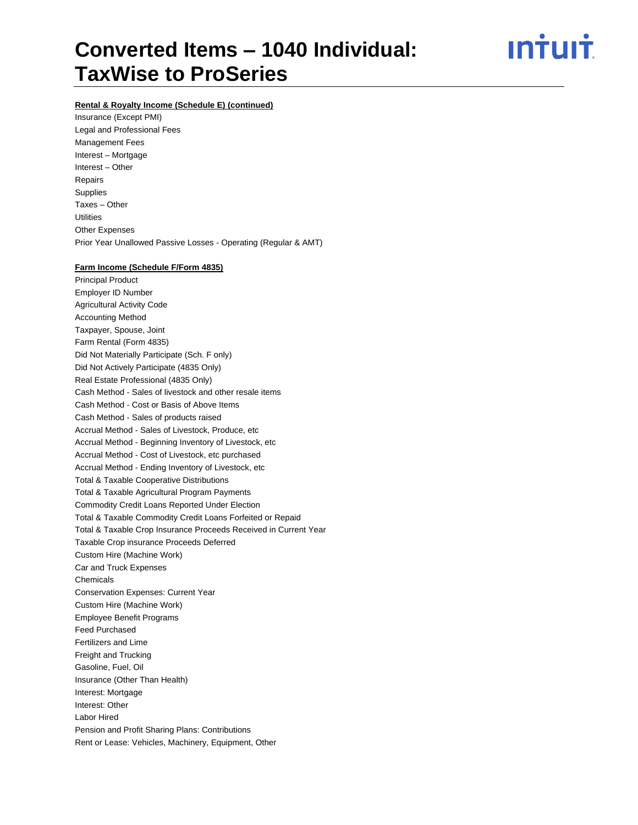ın†uı†

#### **Rental & Royalty Income (Schedule E) (continued)**

Insurance (Except PMI) Legal and Professional Fees Management Fees Interest – Mortgage Interest – Other Repairs Supplies Taxes – Other **Utilities** Other Expenses Prior Year Unallowed Passive Losses - Operating (Regular & AMT)

#### **Farm Income (Schedule F/Form 4835)**

Principal Product Employer ID Number Agricultural Activity Code Accounting Method Taxpayer, Spouse, Joint Farm Rental (Form 4835) Did Not Materially Participate (Sch. F only) Did Not Actively Participate (4835 Only) Real Estate Professional (4835 Only) Cash Method - Sales of livestock and other resale items Cash Method - Cost or Basis of Above Items Cash Method - Sales of products raised Accrual Method - Sales of Livestock, Produce, etc Accrual Method - Beginning Inventory of Livestock, etc Accrual Method - Cost of Livestock, etc purchased Accrual Method - Ending Inventory of Livestock, etc Total & Taxable Cooperative Distributions Total & Taxable Agricultural Program Payments Commodity Credit Loans Reported Under Election Total & Taxable Commodity Credit Loans Forfeited or Repaid Total & Taxable Crop Insurance Proceeds Received in Current Year Taxable Crop insurance Proceeds Deferred Custom Hire (Machine Work) Car and Truck Expenses Chemicals Conservation Expenses: Current Year Custom Hire (Machine Work) Employee Benefit Programs Feed Purchased Fertilizers and Lime Freight and Trucking Gasoline, Fuel, Oil Insurance (Other Than Health) Interest: Mortgage Interest: Other Labor Hired Pension and Profit Sharing Plans: Contributions Rent or Lease: Vehicles, Machinery, Equipment, Other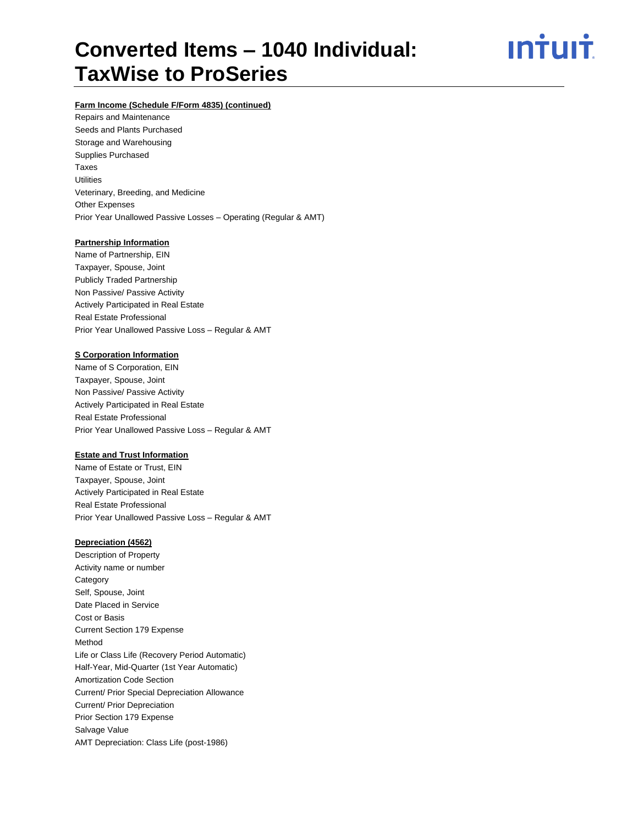<u>ıntuıt</u>

#### **Farm Income (Schedule F/Form 4835) (continued)**

Repairs and Maintenance Seeds and Plants Purchased Storage and Warehousing Supplies Purchased Taxes **Utilities** Veterinary, Breeding, and Medicine Other Expenses Prior Year Unallowed Passive Losses – Operating (Regular & AMT)

#### **Partnership Information**

Name of Partnership, EIN Taxpayer, Spouse, Joint Publicly Traded Partnership Non Passive/ Passive Activity Actively Participated in Real Estate Real Estate Professional Prior Year Unallowed Passive Loss – Regular & AMT

#### **S Corporation Information**

Name of S Corporation, EIN Taxpayer, Spouse, Joint Non Passive/ Passive Activity Actively Participated in Real Estate Real Estate Professional Prior Year Unallowed Passive Loss – Regular & AMT

#### **Estate and Trust Information**

Name of Estate or Trust, EIN Taxpayer, Spouse, Joint Actively Participated in Real Estate Real Estate Professional Prior Year Unallowed Passive Loss – Regular & AMT

#### **Depreciation (4562)**

Description of Property Activity name or number **Category** Self, Spouse, Joint Date Placed in Service Cost or Basis Current Section 179 Expense Method Life or Class Life (Recovery Period Automatic) Half-Year, Mid-Quarter (1st Year Automatic) Amortization Code Section Current/ Prior Special Depreciation Allowance Current/ Prior Depreciation Prior Section 179 Expense Salvage Value AMT Depreciation: Class Life (post-1986)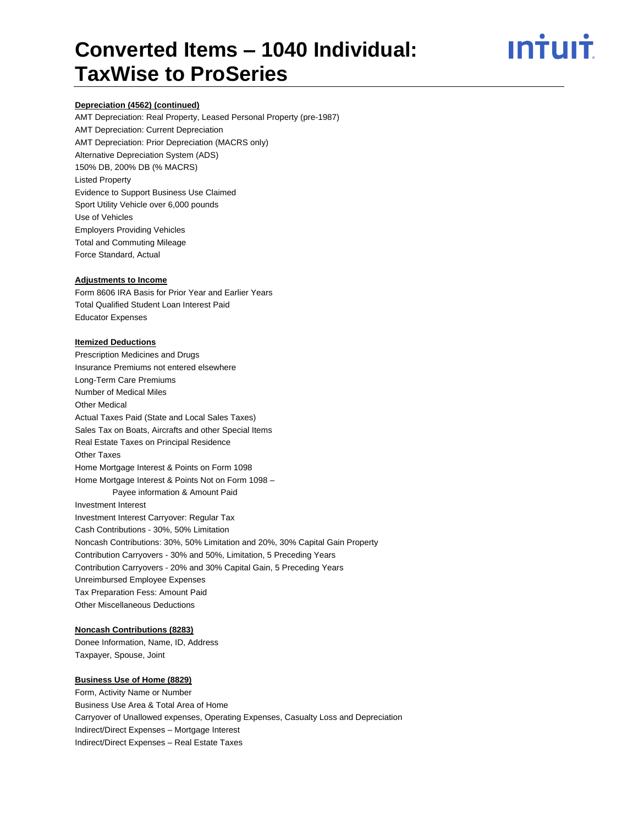## <u>ıntuıt</u>

#### **Depreciation (4562) (continued)**

AMT Depreciation: Real Property, Leased Personal Property (pre-1987) AMT Depreciation: Current Depreciation AMT Depreciation: Prior Depreciation (MACRS only) Alternative Depreciation System (ADS) 150% DB, 200% DB (% MACRS) Listed Property Evidence to Support Business Use Claimed Sport Utility Vehicle over 6,000 pounds Use of Vehicles Employers Providing Vehicles Total and Commuting Mileage Force Standard, Actual

#### **Adjustments to Income**

Form 8606 IRA Basis for Prior Year and Earlier Years Total Qualified Student Loan Interest Paid Educator Expenses

#### **Itemized Deductions**

Prescription Medicines and Drugs Insurance Premiums not entered elsewhere Long-Term Care Premiums Number of Medical Miles Other Medical Actual Taxes Paid (State and Local Sales Taxes) Sales Tax on Boats, Aircrafts and other Special Items Real Estate Taxes on Principal Residence Other Taxes Home Mortgage Interest & Points on Form 1098 Home Mortgage Interest & Points Not on Form 1098 – Payee information & Amount Paid Investment Interest Investment Interest Carryover: Regular Tax Cash Contributions - 30%, 50% Limitation Noncash Contributions: 30%, 50% Limitation and 20%, 30% Capital Gain Property Contribution Carryovers - 30% and 50%, Limitation, 5 Preceding Years Contribution Carryovers - 20% and 30% Capital Gain, 5 Preceding Years Unreimbursed Employee Expenses Tax Preparation Fess: Amount Paid Other Miscellaneous Deductions

#### **Noncash Contributions (8283)**

Donee Information, Name, ID, Address Taxpayer, Spouse, Joint

#### **Business Use of Home (8829)**

Form, Activity Name or Number Business Use Area & Total Area of Home Carryover of Unallowed expenses, Operating Expenses, Casualty Loss and Depreciation Indirect/Direct Expenses – Mortgage Interest Indirect/Direct Expenses – Real Estate Taxes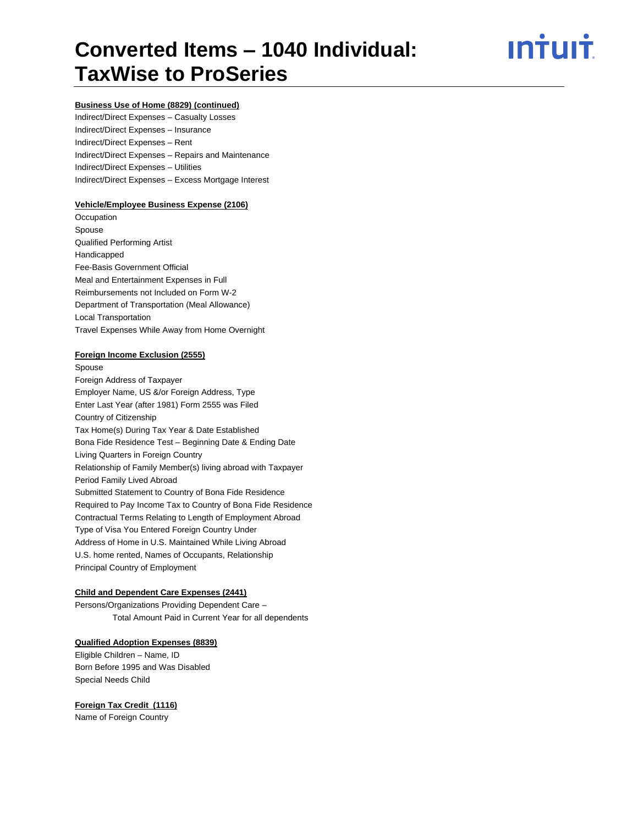## ın†uı†

#### **Business Use of Home (8829) (continued)**

Indirect/Direct Expenses – Casualty Losses Indirect/Direct Expenses – Insurance Indirect/Direct Expenses – Rent Indirect/Direct Expenses – Repairs and Maintenance Indirect/Direct Expenses – Utilities Indirect/Direct Expenses – Excess Mortgage Interest

#### **Vehicle/Employee Business Expense (2106)**

**Occupation** Spouse Qualified Performing Artist Handicapped Fee-Basis Government Official Meal and Entertainment Expenses in Full Reimbursements not Included on Form W-2 Department of Transportation (Meal Allowance) Local Transportation Travel Expenses While Away from Home Overnight

#### **Foreign Income Exclusion (2555)**

Spouse Foreign Address of Taxpayer Employer Name, US &/or Foreign Address, Type Enter Last Year (after 1981) Form 2555 was Filed Country of Citizenship Tax Home(s) During Tax Year & Date Established Bona Fide Residence Test – Beginning Date & Ending Date Living Quarters in Foreign Country Relationship of Family Member(s) living abroad with Taxpayer Period Family Lived Abroad Submitted Statement to Country of Bona Fide Residence Required to Pay Income Tax to Country of Bona Fide Residence Contractual Terms Relating to Length of Employment Abroad Type of Visa You Entered Foreign Country Under Address of Home in U.S. Maintained While Living Abroad U.S. home rented, Names of Occupants, Relationship Principal Country of Employment

#### **Child and Dependent Care Expenses (2441)**

Persons/Organizations Providing Dependent Care – Total Amount Paid in Current Year for all dependents

#### **Qualified Adoption Expenses (8839)**

Eligible Children – Name, ID Born Before 1995 and Was Disabled Special Needs Child

#### **Foreign Tax Credit (1116)**

Name of Foreign Country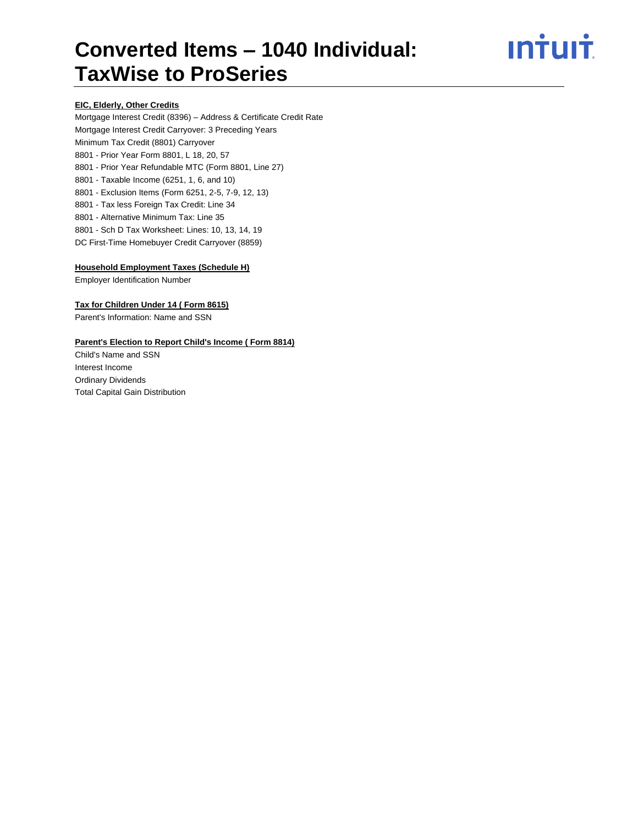## <u>**Intuit**</u>

#### **EIC, Elderly, Other Credits**

Mortgage Interest Credit (8396) – Address & Certificate Credit Rate Mortgage Interest Credit Carryover: 3 Preceding Years Minimum Tax Credit (8801) Carryover 8801 - Prior Year Form 8801, L 18, 20, 57 8801 - Prior Year Refundable MTC (Form 8801, Line 27) 8801 - Taxable Income (6251, 1, 6, and 10) 8801 - Exclusion Items (Form 6251, 2-5, 7-9, 12, 13) 8801 - Tax less Foreign Tax Credit: Line 34 8801 - Alternative Minimum Tax: Line 35 8801 - Sch D Tax Worksheet: Lines: 10, 13, 14, 19 DC First-Time Homebuyer Credit Carryover (8859)

#### **Household Employment Taxes (Schedule H)**

Employer Identification Number

#### **Tax for Children Under 14 ( Form 8615)**

Parent's Information: Name and SSN

#### **Parent's Election to Report Child's Income ( Form 8814)**

Child's Name and SSN Interest Income Ordinary Dividends Total Capital Gain Distribution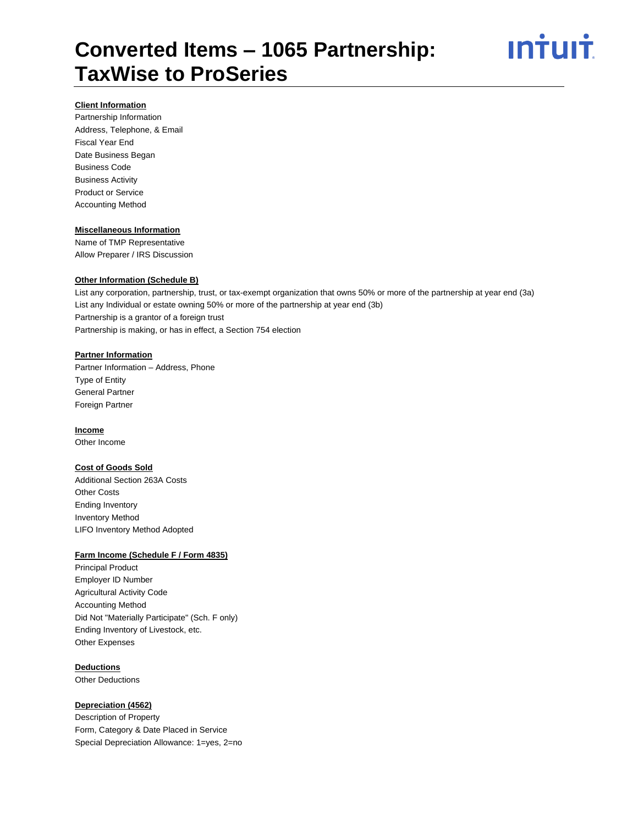

#### **Client Information**

Partnership Information Address, Telephone, & Email Fiscal Year End Date Business Began Business Code Business Activity Product or Service Accounting Method

#### **Miscellaneous Information**

Name of TMP Representative Allow Preparer / IRS Discussion

#### **Other Information (Schedule B)**

List any corporation, partnership, trust, or tax-exempt organization that owns 50% or more of the partnership at year end (3a) List any Individual or estate owning 50% or more of the partnership at year end (3b) Partnership is a grantor of a foreign trust Partnership is making, or has in effect, a Section 754 election

#### **Partner Information**

Partner Information – Address, Phone Type of Entity General Partner Foreign Partner

#### **Income**

Other Income

#### **Cost of Goods Sold**

Additional Section 263A Costs Other Costs Ending Inventory Inventory Method LIFO Inventory Method Adopted

#### **Farm Income (Schedule F / Form 4835)**

Principal Product Employer ID Number Agricultural Activity Code Accounting Method Did Not "Materially Participate" (Sch. F only) Ending Inventory of Livestock, etc. Other Expenses

#### **Deductions**

Other Deductions

#### **Depreciation (4562)**

Description of Property Form, Category & Date Placed in Service Special Depreciation Allowance: 1=yes, 2=no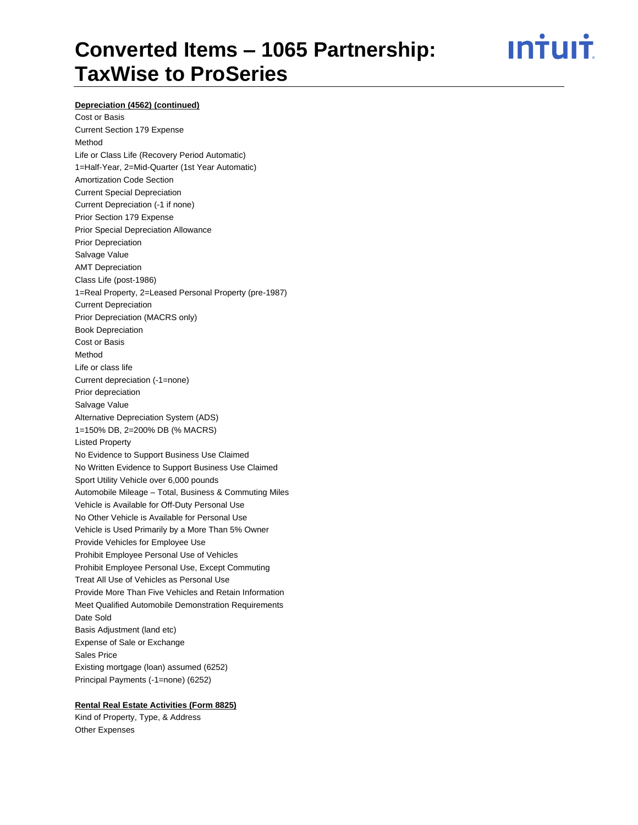ın†uı†

#### **Depreciation (4562) (continued)**

Cost or Basis Current Section 179 Expense Method Life or Class Life (Recovery Period Automatic) 1=Half-Year, 2=Mid-Quarter (1st Year Automatic) Amortization Code Section Current Special Depreciation Current Depreciation (-1 if none) Prior Section 179 Expense Prior Special Depreciation Allowance Prior Depreciation Salvage Value AMT Depreciation Class Life (post-1986) 1=Real Property, 2=Leased Personal Property (pre-1987) Current Depreciation Prior Depreciation (MACRS only) Book Depreciation Cost or Basis Method Life or class life Current depreciation (-1=none) Prior depreciation Salvage Value Alternative Depreciation System (ADS) 1=150% DB, 2=200% DB (% MACRS) Listed Property No Evidence to Support Business Use Claimed No Written Evidence to Support Business Use Claimed Sport Utility Vehicle over 6,000 pounds Automobile Mileage – Total, Business & Commuting Miles Vehicle is Available for Off-Duty Personal Use No Other Vehicle is Available for Personal Use Vehicle is Used Primarily by a More Than 5% Owner Provide Vehicles for Employee Use Prohibit Employee Personal Use of Vehicles Prohibit Employee Personal Use, Except Commuting Treat All Use of Vehicles as Personal Use Provide More Than Five Vehicles and Retain Information Meet Qualified Automobile Demonstration Requirements Date Sold Basis Adjustment (land etc) Expense of Sale or Exchange Sales Price Existing mortgage (loan) assumed (6252) Principal Payments (-1=none) (6252)

#### **Rental Real Estate Activities (Form 8825)**

Kind of Property, Type, & Address Other Expenses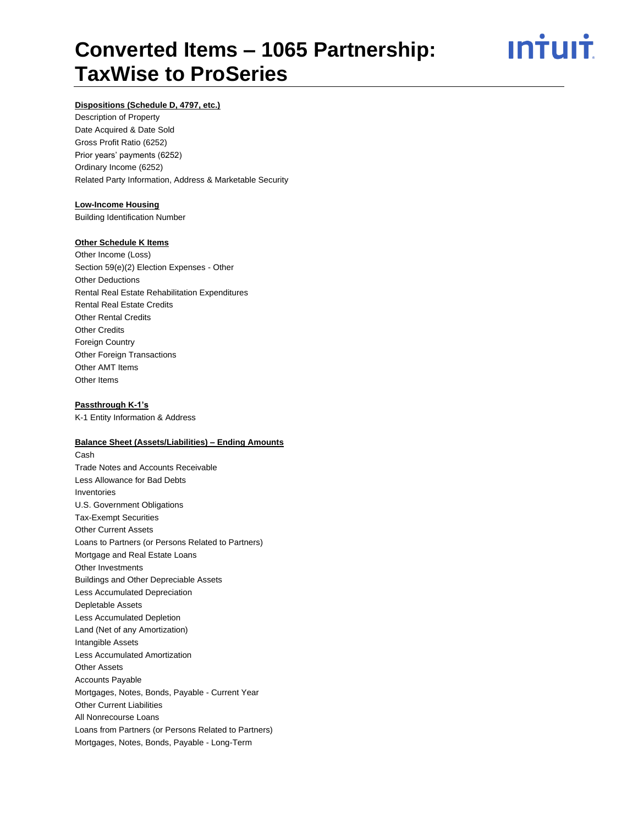<u>ıntuıt</u>

#### **Dispositions (Schedule D, 4797, etc.)**

Description of Property Date Acquired & Date Sold Gross Profit Ratio (6252) Prior years' payments (6252) Ordinary Income (6252) Related Party Information, Address & Marketable Security

#### **Low-Income Housing**

Building Identification Number

#### **Other Schedule K Items**

Other Income (Loss) Section 59(e)(2) Election Expenses - Other Other Deductions Rental Real Estate Rehabilitation Expenditures Rental Real Estate Credits Other Rental Credits Other Credits Foreign Country Other Foreign Transactions Other AMT Items Other Items

#### **Passthrough K-1's**

K-1 Entity Information & Address

#### **Balance Sheet (Assets/Liabilities) – Ending Amounts**

Cash Trade Notes and Accounts Receivable Less Allowance for Bad Debts Inventories U.S. Government Obligations Tax-Exempt Securities Other Current Assets Loans to Partners (or Persons Related to Partners) Mortgage and Real Estate Loans Other Investments Buildings and Other Depreciable Assets Less Accumulated Depreciation Depletable Assets Less Accumulated Depletion Land (Net of any Amortization) Intangible Assets Less Accumulated Amortization Other Assets Accounts Payable Mortgages, Notes, Bonds, Payable - Current Year Other Current Liabilities All Nonrecourse Loans Loans from Partners (or Persons Related to Partners) Mortgages, Notes, Bonds, Payable - Long-Term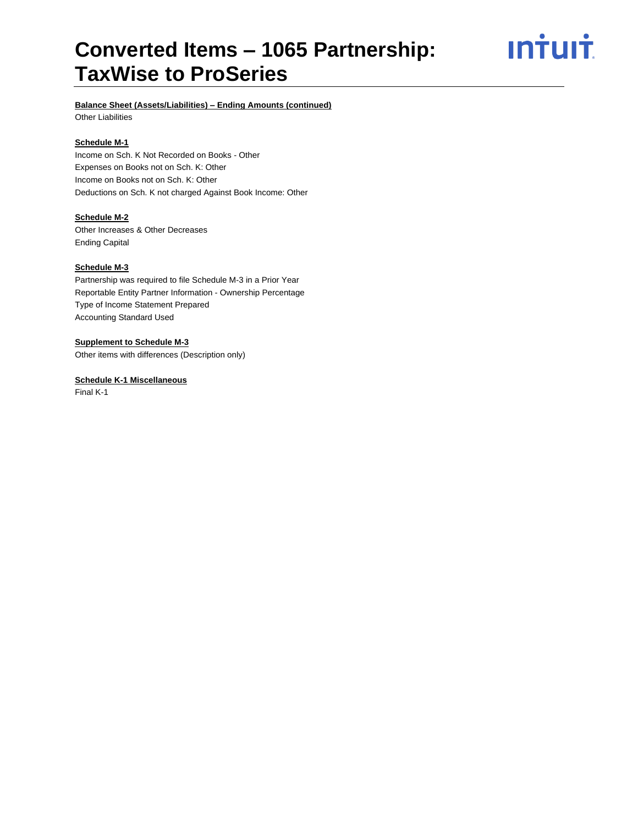# <u>**Intuit**</u>

#### **Balance Sheet (Assets/Liabilities) – Ending Amounts (continued)**

Other Liabilities

#### **Schedule M-1**

Income on Sch. K Not Recorded on Books - Other Expenses on Books not on Sch. K: Other Income on Books not on Sch. K: Other Deductions on Sch. K not charged Against Book Income: Other

#### **Schedule M-2**

Other Increases & Other Decreases Ending Capital

#### **Schedule M-3**

Partnership was required to file Schedule M-3 in a Prior Year Reportable Entity Partner Information - Ownership Percentage Type of Income Statement Prepared Accounting Standard Used

#### **Supplement to Schedule M-3**

Other items with differences (Description only)

#### **Schedule K-1 Miscellaneous**

Final K-1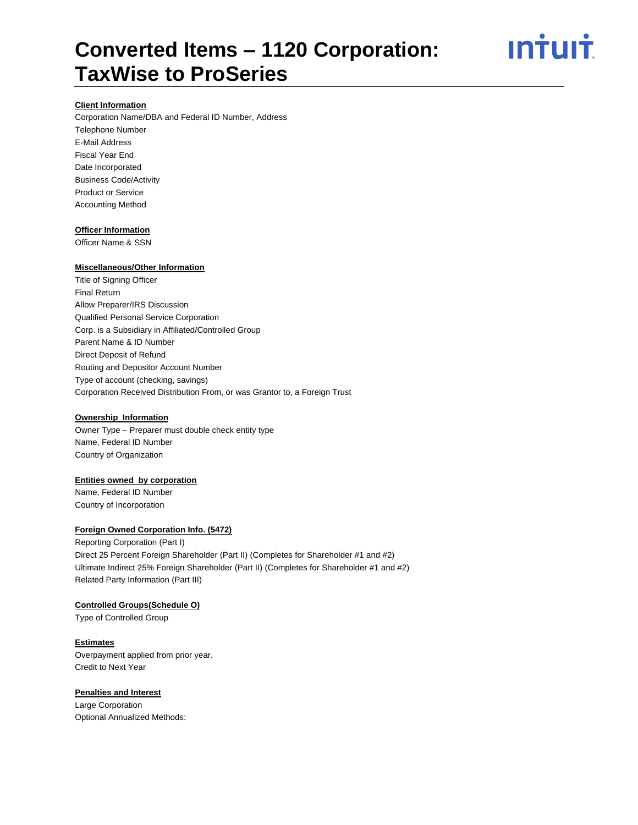

#### **Client Information**

Corporation Name/DBA and Federal ID Number, Address Telephone Number E-Mail Address Fiscal Year End Date Incorporated Business Code/Activity Product or Service Accounting Method

#### **Officer Information**

Officer Name & SSN

#### **Miscellaneous/Other Information**

Title of Signing Officer Final Return Allow Preparer/IRS Discussion Qualified Personal Service Corporation Corp. is a Subsidiary in Affiliated/Controlled Group Parent Name & ID Number Direct Deposit of Refund Routing and Depositor Account Number Type of account (checking, savings) Corporation Received Distribution From, or was Grantor to, a Foreign Trust

#### **Ownership Information**

Owner Type – Preparer must double check entity type Name, Federal ID Number Country of Organization

#### **Entities owned by corporation**

Name, Federal ID Number Country of Incorporation

#### **Foreign Owned Corporation Info. (5472)**

Reporting Corporation (Part I) Direct 25 Percent Foreign Shareholder (Part II) (Completes for Shareholder #1 and #2) Ultimate Indirect 25% Foreign Shareholder (Part II) (Completes for Shareholder #1 and #2) Related Party Information (Part III)

#### **Controlled Groups(Schedule O)**

Type of Controlled Group

**Estimates** Overpayment applied from prior year. Credit to Next Year

#### **Penalties and Interest**

Large Corporation Optional Annualized Methods: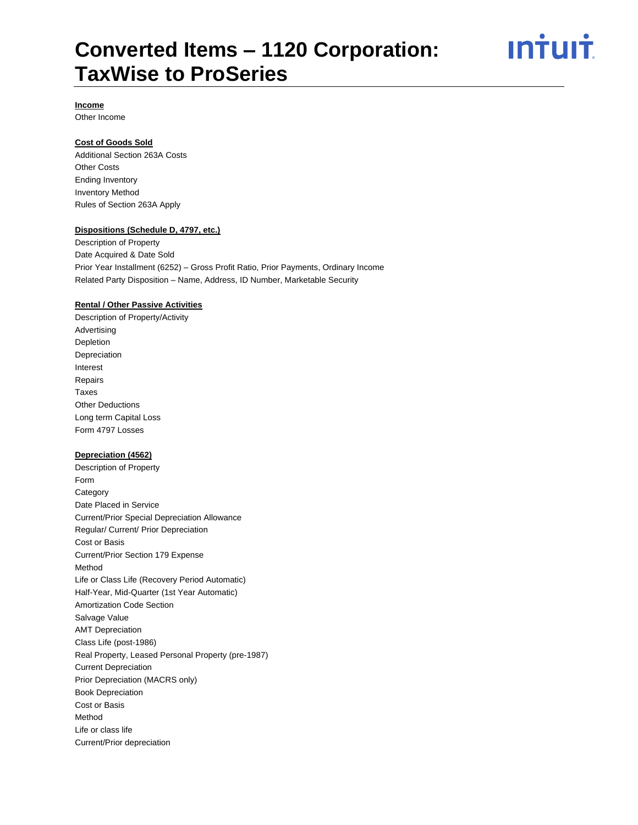

#### **Income**

Other Income

#### **Cost of Goods Sold**

Additional Section 263A Costs Other Costs Ending Inventory Inventory Method Rules of Section 263A Apply

#### **Dispositions (Schedule D, 4797, etc.)**

Description of Property Date Acquired & Date Sold Prior Year Installment (6252) – Gross Profit Ratio, Prior Payments, Ordinary Income Related Party Disposition – Name, Address, ID Number, Marketable Security

#### **Rental / Other Passive Activities**

Description of Property/Activity Advertising Depletion Depreciation Interest Repairs Taxes Other Deductions Long term Capital Loss Form 4797 Losses

#### **Depreciation (4562)**

Description of Property Form **Category** Date Placed in Service Current/Prior Special Depreciation Allowance Regular/ Current/ Prior Depreciation Cost or Basis Current/Prior Section 179 Expense Method Life or Class Life (Recovery Period Automatic) Half-Year, Mid-Quarter (1st Year Automatic) Amortization Code Section Salvage Value AMT Depreciation Class Life (post-1986) Real Property, Leased Personal Property (pre-1987) Current Depreciation Prior Depreciation (MACRS only) Book Depreciation Cost or Basis Method Life or class life Current/Prior depreciation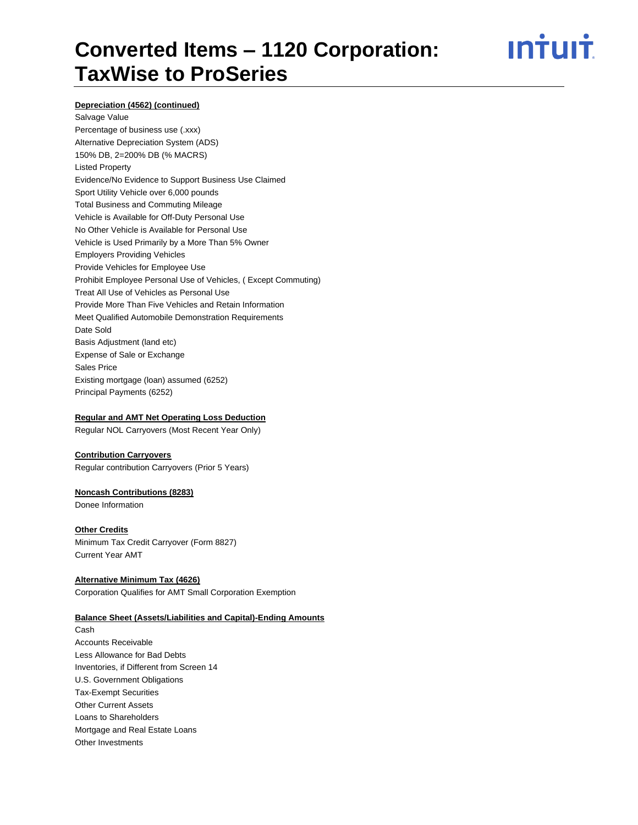## <u>ıntuıt</u>

#### **Depreciation (4562) (continued)**

Salvage Value Percentage of business use (.xxx) Alternative Depreciation System (ADS) 150% DB, 2=200% DB (% MACRS) Listed Property Evidence/No Evidence to Support Business Use Claimed Sport Utility Vehicle over 6,000 pounds Total Business and Commuting Mileage Vehicle is Available for Off-Duty Personal Use No Other Vehicle is Available for Personal Use Vehicle is Used Primarily by a More Than 5% Owner Employers Providing Vehicles Provide Vehicles for Employee Use Prohibit Employee Personal Use of Vehicles, ( Except Commuting) Treat All Use of Vehicles as Personal Use Provide More Than Five Vehicles and Retain Information Meet Qualified Automobile Demonstration Requirements Date Sold Basis Adjustment (land etc) Expense of Sale or Exchange Sales Price Existing mortgage (loan) assumed (6252) Principal Payments (6252)

#### **Regular and AMT Net Operating Loss Deduction**

Regular NOL Carryovers (Most Recent Year Only)

#### **Contribution Carryovers**

Regular contribution Carryovers (Prior 5 Years)

#### **Noncash Contributions (8283)**

Donee Information

#### **Other Credits**

Minimum Tax Credit Carryover (Form 8827) Current Year AMT

#### **Alternative Minimum Tax (4626)**

Corporation Qualifies for AMT Small Corporation Exemption

#### **Balance Sheet (Assets/Liabilities and Capital)-Ending Amounts**

Cash Accounts Receivable Less Allowance for Bad Debts Inventories, if Different from Screen 14 U.S. Government Obligations Tax-Exempt Securities Other Current Assets Loans to Shareholders Mortgage and Real Estate Loans Other Investments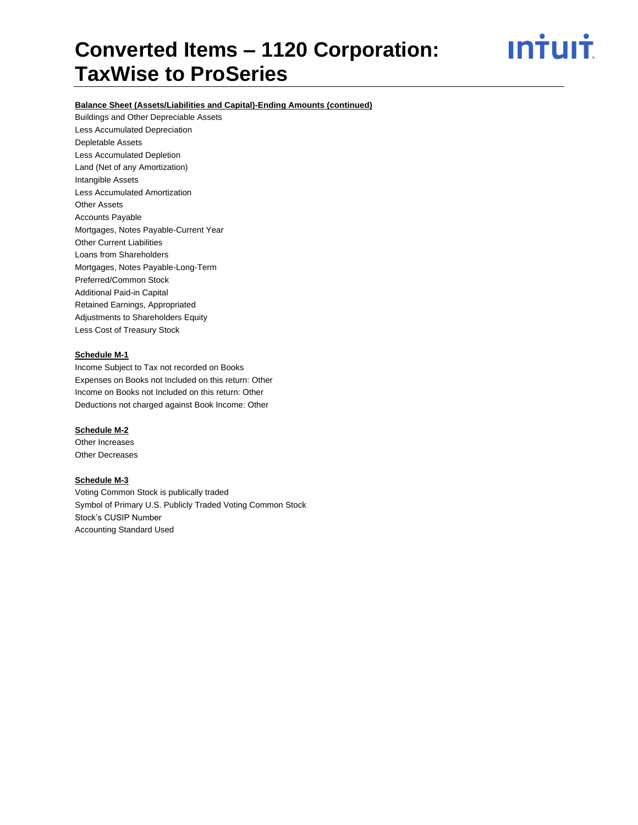ın†uı†

#### **Balance Sheet (Assets/Liabilities and Capital)-Ending Amounts (continued)**

Buildings and Other Depreciable Assets Less Accumulated Depreciation Depletable Assets Less Accumulated Depletion Land (Net of any Amortization) Intangible Assets Less Accumulated Amortization Other Assets Accounts Payable Mortgages, Notes Payable-Current Year Other Current Liabilities Loans from Shareholders Mortgages, Notes Payable-Long-Term Preferred/Common Stock Additional Paid-in Capital Retained Earnings, Appropriated Adjustments to Shareholders Equity Less Cost of Treasury Stock

### **Schedule M-1**

Income Subject to Tax not recorded on Books Expenses on Books not Included on this return: Other Income on Books not Included on this return: Other Deductions not charged against Book Income: Other

#### **Schedule M-2**

Other Increases Other Decreases

#### **Schedule M-3**

Voting Common Stock is publically traded Symbol of Primary U.S. Publicly Traded Voting Common Stock Stock's CUSIP Number Accounting Standard Used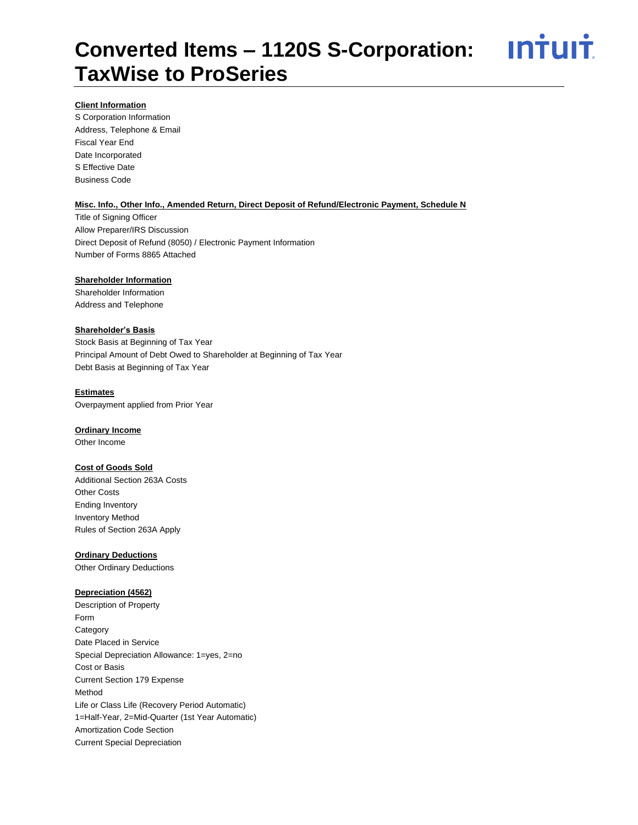<u>**Intuit**</u>

#### **Client Information**

S Corporation Information Address, Telephone & Email Fiscal Year End Date Incorporated S Effective Date Business Code

#### **Misc. Info., Other Info., Amended Return, Direct Deposit of Refund/Electronic Payment, Schedule N**

Title of Signing Officer Allow Preparer/IRS Discussion Direct Deposit of Refund (8050) / Electronic Payment Information Number of Forms 8865 Attached

#### **Shareholder Information**

Shareholder Information Address and Telephone

#### **Shareholder's Basis**

Stock Basis at Beginning of Tax Year Principal Amount of Debt Owed to Shareholder at Beginning of Tax Year Debt Basis at Beginning of Tax Year

#### **Estimates**

Overpayment applied from Prior Year

#### **Ordinary Income**

Other Income

#### **Cost of Goods Sold**

Additional Section 263A Costs Other Costs Ending Inventory Inventory Method Rules of Section 263A Apply

#### **Ordinary Deductions**

Other Ordinary Deductions

#### **Depreciation (4562)**

Description of Property Form **Category** Date Placed in Service Special Depreciation Allowance: 1=yes, 2=no Cost or Basis Current Section 179 Expense Method Life or Class Life (Recovery Period Automatic) 1=Half-Year, 2=Mid-Quarter (1st Year Automatic) Amortization Code Section Current Special Depreciation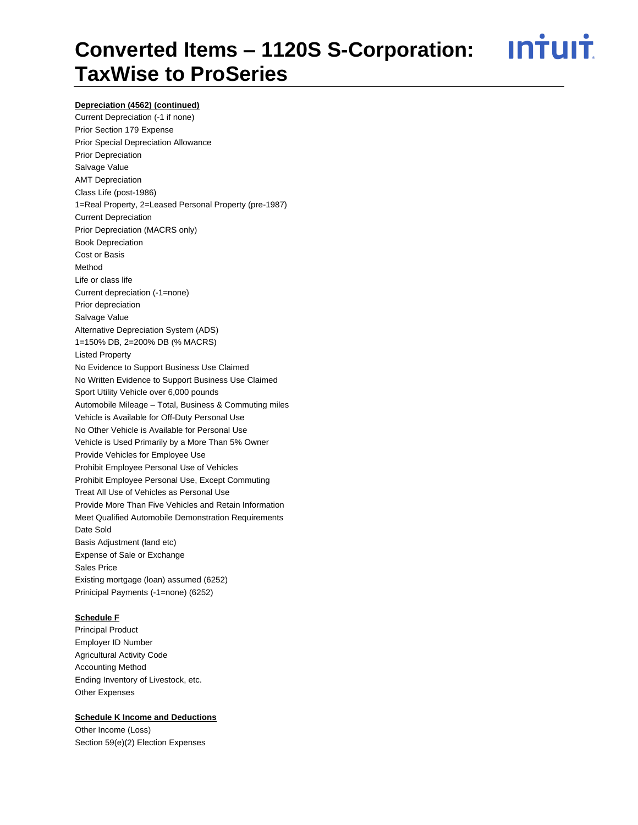<u>**Intuit**</u>

#### **Depreciation (4562) (continued)**

Current Depreciation (-1 if none) Prior Section 179 Expense Prior Special Depreciation Allowance Prior Depreciation Salvage Value AMT Depreciation Class Life (post-1986) 1=Real Property, 2=Leased Personal Property (pre-1987) Current Depreciation Prior Depreciation (MACRS only) Book Depreciation Cost or Basis Method Life or class life Current depreciation (-1=none) Prior depreciation Salvage Value Alternative Depreciation System (ADS) 1=150% DB, 2=200% DB (% MACRS) Listed Property No Evidence to Support Business Use Claimed No Written Evidence to Support Business Use Claimed Sport Utility Vehicle over 6,000 pounds Automobile Mileage – Total, Business & Commuting miles Vehicle is Available for Off-Duty Personal Use No Other Vehicle is Available for Personal Use Vehicle is Used Primarily by a More Than 5% Owner Provide Vehicles for Employee Use Prohibit Employee Personal Use of Vehicles Prohibit Employee Personal Use, Except Commuting Treat All Use of Vehicles as Personal Use Provide More Than Five Vehicles and Retain Information Meet Qualified Automobile Demonstration Requirements Date Sold Basis Adjustment (land etc) Expense of Sale or Exchange Sales Price Existing mortgage (loan) assumed (6252) Prinicipal Payments (-1=none) (6252)

#### **Schedule F**

Principal Product Employer ID Number Agricultural Activity Code Accounting Method Ending Inventory of Livestock, etc. Other Expenses

#### **Schedule K Income and Deductions**

Other Income (Loss) Section 59(e)(2) Election Expenses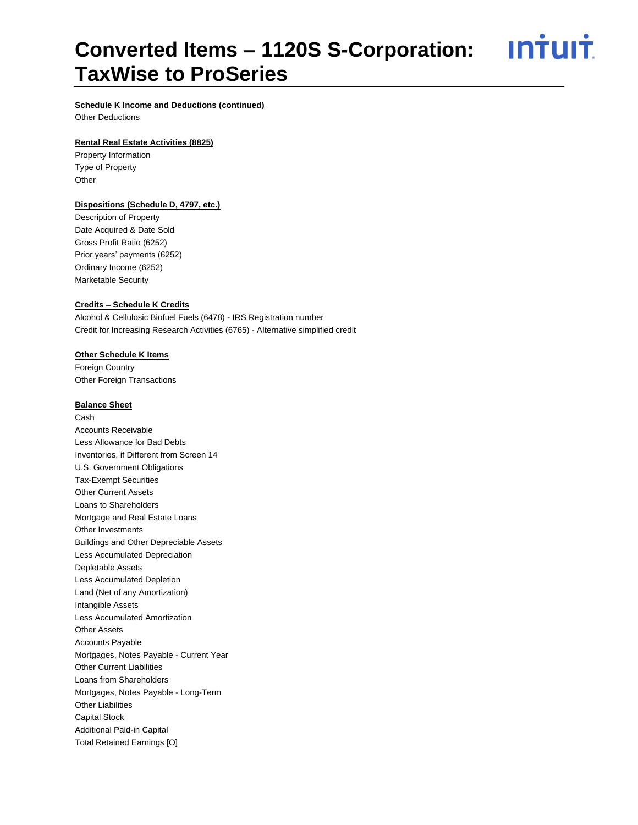<u>**Intuit**</u>

#### **Schedule K Income and Deductions (continued)**

Other Deductions

#### **Rental Real Estate Activities (8825)**

Property Information Type of Property **Other** 

#### **Dispositions (Schedule D, 4797, etc.)**

Description of Property Date Acquired & Date Sold Gross Profit Ratio (6252) Prior years' payments (6252) Ordinary Income (6252) Marketable Security

#### **Credits – Schedule K Credits**

Alcohol & Cellulosic Biofuel Fuels (6478) - IRS Registration number Credit for Increasing Research Activities (6765) - Alternative simplified credit

#### **Other Schedule K Items**

Foreign Country Other Foreign Transactions

#### **Balance Sheet**

Cash Accounts Receivable Less Allowance for Bad Debts Inventories, if Different from Screen 14 U.S. Government Obligations Tax-Exempt Securities Other Current Assets Loans to Shareholders Mortgage and Real Estate Loans Other Investments Buildings and Other Depreciable Assets Less Accumulated Depreciation Depletable Assets Less Accumulated Depletion Land (Net of any Amortization) Intangible Assets Less Accumulated Amortization Other Assets Accounts Payable Mortgages, Notes Payable - Current Year Other Current Liabilities Loans from Shareholders Mortgages, Notes Payable - Long-Term Other Liabilities Capital Stock Additional Paid-in Capital Total Retained Earnings [O]